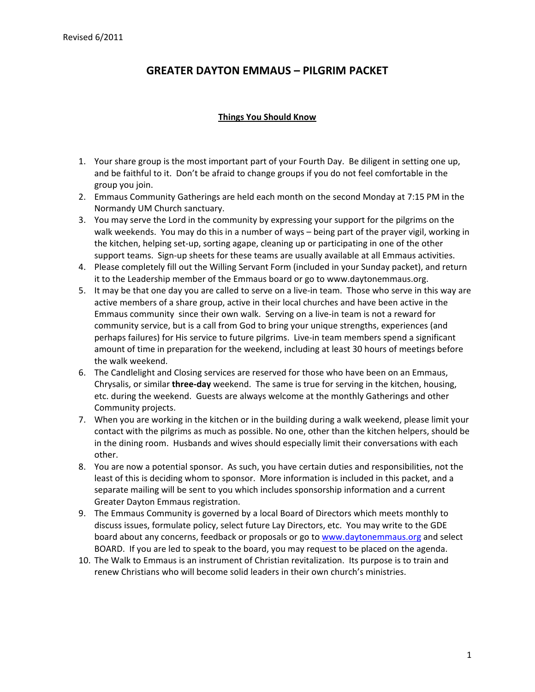#### **Things You Should Know**

- 1. Your share group is the most important part of your Fourth Day. Be diligent in setting one up, and be faithful to it. Don't be afraid to change groups if you do not feel comfortable in the group you join.
- 2. Emmaus Community Gatherings are held each month on the second Monday at 7:15 PM in the Normandy UM Church sanctuary.
- 3. You may serve the Lord in the community by expressing your support for the pilgrims on the walk weekends. You may do this in a number of ways – being part of the prayer vigil, working in the kitchen, helping set‐up, sorting agape, cleaning up or participating in one of the other support teams. Sign-up sheets for these teams are usually available at all Emmaus activities.
- 4. Please completely fill out the Willing Servant Form (included in your Sunday packet), and return it to the Leadership member of the Emmaus board or go to www.daytonemmaus.org.
- 5. It may be that one day you are called to serve on a live‐in team. Those who serve in this way are active members of a share group, active in their local churches and have been active in the Emmaus community since their own walk. Serving on a live‐in team is not a reward for community service, but is a call from God to bring your unique strengths, experiences (and perhaps failures) for His service to future pilgrims. Live‐in team members spend a significant amount of time in preparation for the weekend, including at least 30 hours of meetings before the walk weekend.
- 6. The Candlelight and Closing services are reserved for those who have been on an Emmaus, Chrysalis, or similar **three‐day** weekend. The same is true for serving in the kitchen, housing, etc. during the weekend. Guests are always welcome at the monthly Gatherings and other Community projects.
- 7. When you are working in the kitchen or in the building during a walk weekend, please limit your contact with the pilgrims as much as possible. No one, other than the kitchen helpers, should be in the dining room. Husbands and wives should especially limit their conversations with each other.
- 8. You are now a potential sponsor. As such, you have certain duties and responsibilities, not the least of this is deciding whom to sponsor. More information is included in this packet, and a separate mailing will be sent to you which includes sponsorship information and a current Greater Dayton Emmaus registration.
- 9. The Emmaus Community is governed by a local Board of Directors which meets monthly to discuss issues, formulate policy, select future Lay Directors, etc. You may write to the GDE board about any concerns, feedback or proposals or go to www.daytonemmaus.org and select BOARD. If you are led to speak to the board, you may request to be placed on the agenda.
- 10. The Walk to Emmaus is an instrument of Christian revitalization. Its purpose is to train and renew Christians who will become solid leaders in their own church's ministries.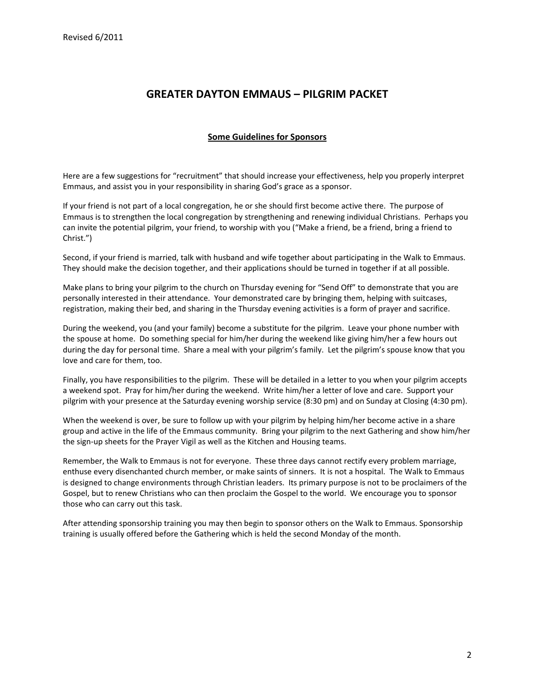#### **Some Guidelines for Sponsors**

Here are a few suggestions for "recruitment" that should increase your effectiveness, help you properly interpret Emmaus, and assist you in your responsibility in sharing God's grace as a sponsor.

If your friend is not part of a local congregation, he or she should first become active there. The purpose of Emmaus is to strengthen the local congregation by strengthening and renewing individual Christians. Perhaps you can invite the potential pilgrim, your friend, to worship with you ("Make a friend, be a friend, bring a friend to Christ.")

Second, if your friend is married, talk with husband and wife together about participating in the Walk to Emmaus. They should make the decision together, and their applications should be turned in together if at all possible.

Make plans to bring your pilgrim to the church on Thursday evening for "Send Off" to demonstrate that you are personally interested in their attendance. Your demonstrated care by bringing them, helping with suitcases, registration, making their bed, and sharing in the Thursday evening activities is a form of prayer and sacrifice.

During the weekend, you (and your family) become a substitute for the pilgrim. Leave your phone number with the spouse at home. Do something special for him/her during the weekend like giving him/her a few hours out during the day for personal time. Share a meal with your pilgrim's family. Let the pilgrim's spouse know that you love and care for them, too.

Finally, you have responsibilities to the pilgrim. These will be detailed in a letter to you when your pilgrim accepts a weekend spot. Pray for him/her during the weekend. Write him/her a letter of love and care. Support your pilgrim with your presence at the Saturday evening worship service (8:30 pm) and on Sunday at Closing (4:30 pm).

When the weekend is over, be sure to follow up with your pilgrim by helping him/her become active in a share group and active in the life of the Emmaus community. Bring your pilgrim to the next Gathering and show him/her the sign-up sheets for the Prayer Vigil as well as the Kitchen and Housing teams.

Remember, the Walk to Emmaus is not for everyone. These three days cannot rectify every problem marriage, enthuse every disenchanted church member, or make saints of sinners. It is not a hospital. The Walk to Emmaus is designed to change environments through Christian leaders. Its primary purpose is not to be proclaimers of the Gospel, but to renew Christians who can then proclaim the Gospel to the world. We encourage you to sponsor those who can carry out this task.

After attending sponsorship training you may then begin to sponsor others on the Walk to Emmaus. Sponsorship training is usually offered before the Gathering which is held the second Monday of the month.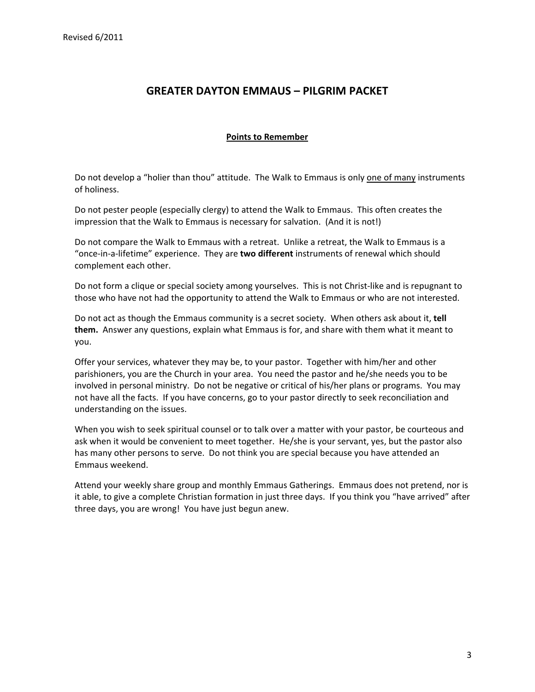#### **Points to Remember**

Do not develop a "holier than thou" attitude. The Walk to Emmaus is only one of many instruments of holiness.

Do not pester people (especially clergy) to attend the Walk to Emmaus. This often creates the impression that the Walk to Emmaus is necessary for salvation. (And it is not!)

Do not compare the Walk to Emmaus with a retreat. Unlike a retreat, the Walk to Emmaus is a "once‐in‐a‐lifetime" experience. They are **two different** instruments of renewal which should complement each other.

Do not form a clique or special society among yourselves. This is not Christ-like and is repugnant to those who have not had the opportunity to attend the Walk to Emmaus or who are not interested.

Do not act as though the Emmaus community is a secret society. When others ask about it, **tell them.** Answer any questions, explain what Emmaus is for, and share with them what it meant to you.

Offer your services, whatever they may be, to your pastor. Together with him/her and other parishioners, you are the Church in your area. You need the pastor and he/she needs you to be involved in personal ministry. Do not be negative or critical of his/her plans or programs. You may not have all the facts. If you have concerns, go to your pastor directly to seek reconciliation and understanding on the issues.

When you wish to seek spiritual counsel or to talk over a matter with your pastor, be courteous and ask when it would be convenient to meet together. He/she is your servant, yes, but the pastor also has many other persons to serve. Do not think you are special because you have attended an Emmaus weekend.

Attend your weekly share group and monthly Emmaus Gatherings. Emmaus does not pretend, nor is it able, to give a complete Christian formation in just three days. If you think you "have arrived" after three days, you are wrong! You have just begun anew.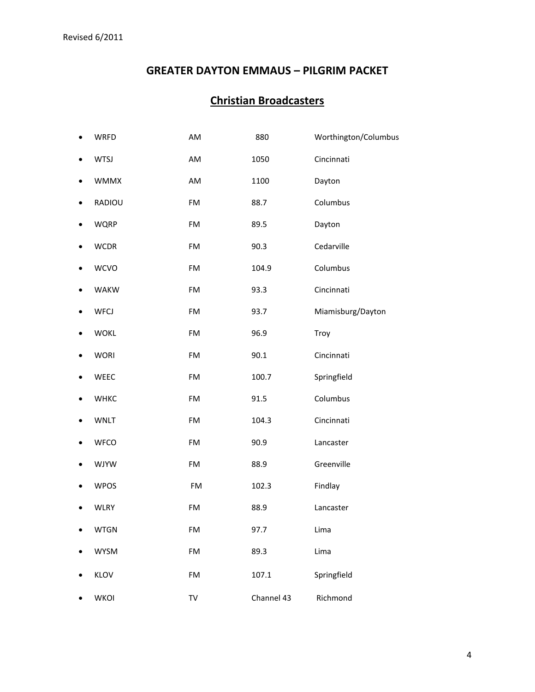# **Christian Broadcasters**

| ٠ | <b>WRFD</b> | AM | 880        | Worthington/Columbus |
|---|-------------|----|------------|----------------------|
|   | <b>WTSJ</b> | AM | 1050       | Cincinnati           |
|   | <b>WMMX</b> | AM | 1100       | Dayton               |
|   | RADIOU      | FM | 88.7       | Columbus             |
|   | <b>WQRP</b> | FM | 89.5       | Dayton               |
|   | <b>WCDR</b> | FM | 90.3       | Cedarville           |
|   | <b>WCVO</b> | FM | 104.9      | Columbus             |
|   | <b>WAKW</b> | FM | 93.3       | Cincinnati           |
|   | <b>WFCJ</b> | FM | 93.7       | Miamisburg/Dayton    |
|   | <b>WOKL</b> | FM | 96.9       | Troy                 |
|   | <b>WORI</b> | FM | 90.1       | Cincinnati           |
|   | WEEC        | FM | 100.7      | Springfield          |
|   | <b>WHKC</b> | FM | 91.5       | Columbus             |
|   | <b>WNLT</b> | FM | 104.3      | Cincinnati           |
|   | <b>WFCO</b> | FM | 90.9       | Lancaster            |
|   | <b>WJYW</b> | FM | 88.9       | Greenville           |
|   | <b>WPOS</b> | FM | 102.3      | Findlay              |
|   | <b>WLRY</b> | FM | 88.9       | Lancaster            |
|   | <b>WTGN</b> | FM | 97.7       | Lima                 |
|   | <b>WYSM</b> | FM | 89.3       | Lima                 |
|   | KLOV        | FM | 107.1      | Springfield          |
|   | <b>WKOI</b> | TV | Channel 43 | Richmond             |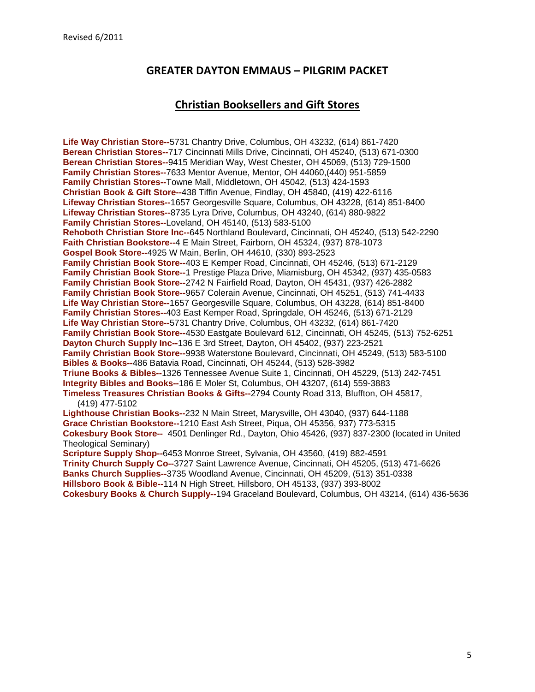### **Christian Booksellers and Gift Stores**

**Life Way Christian Store--**5731 Chantry Drive, Columbus, OH 43232, (614) 861-7420 **Berean Christian Stores--**717 Cincinnati Mills Drive, Cincinnati, OH 45240, (513) 671-0300 **Berean Christian Stores--**9415 Meridian Way, West Chester, OH 45069, (513) 729-1500 **Family Christian Stores--**7633 Mentor Avenue, Mentor, OH 44060,(440) 951-5859 **Family Christian Stores--**Towne Mall, Middletown, OH 45042, (513) 424-1593 **Christian Book & Gift Store--**438 Tiffin Avenue, Findlay, OH 45840, (419) 422-6116 **Lifeway Christian Stores--**1657 Georgesville Square, Columbus, OH 43228, (614) 851-8400 **Lifeway Christian Stores--**8735 Lyra Drive, Columbus, OH 43240, (614) 880-9822 **Family Christian Stores--**Loveland, OH 45140, (513) 583-5100 **Rehoboth Christian Store Inc--**645 Northland Boulevard, Cincinnati, OH 45240, (513) 542-2290 **Faith Christian Bookstore--**4 E Main Street, Fairborn, OH 45324, (937) 878-1073 **Gospel Book Store--**4925 W Main, Berlin, OH 44610, (330) 893-2523 **Family Christian Book Store--**403 E Kemper Road, Cincinnati, OH 45246, (513) 671-2129 **Family Christian Book Store--**1 Prestige Plaza Drive, Miamisburg, OH 45342, (937) 435-0583 **Family Christian Book Store--**2742 N Fairfield Road, Dayton, OH 45431, (937) 426-2882 **Family Christian Book Store--**9657 Colerain Avenue, Cincinnati, OH 45251, (513) 741-4433 **Life Way Christian Store--**1657 Georgesville Square, Columbus, OH 43228, (614) 851-8400 **Family Christian Stores--**403 East Kemper Road, Springdale, OH 45246, (513) 671-2129 **Life Way Christian Store--**5731 Chantry Drive, Columbus, OH 43232, (614) 861-7420 **Family Christian Book Store--**4530 Eastgate Boulevard 612, Cincinnati, OH 45245, (513) 752-6251 **Dayton Church Supply Inc--**136 E 3rd Street, Dayton, OH 45402, (937) 223-2521 **Family Christian Book Store--**9938 Waterstone Boulevard, Cincinnati, OH 45249, (513) 583-5100 **Bibles & Books--**486 Batavia Road, Cincinnati, OH 45244, (513) 528-3982 **Triune Books & Bibles--**1326 Tennessee Avenue Suite 1, Cincinnati, OH 45229, (513) 242-7451 **Integrity Bibles and Books--**186 E Moler St, Columbus, OH 43207, (614) 559-3883 **Timeless Treasures Christian Books & Gifts--**2794 County Road 313, Bluffton, OH 45817, (419) 477-5102 **Lighthouse Christian Books--**232 N Main Street, Marysville, OH 43040, (937) 644-1188 **Grace Christian Bookstore--**1210 East Ash Street, Piqua, OH 45356, 937) 773-5315

**Cokesbury Book Store--** 4501 Denlinger Rd., Dayton, Ohio 45426, (937) 837-2300 (located in United Theological Seminary)

**Scripture Supply Shop--**6453 Monroe Street, Sylvania, OH 43560, (419) 882-4591 **Trinity Church Supply Co--**3727 Saint Lawrence Avenue, Cincinnati, OH 45205, (513) 471-6626 **Banks Church Supplies--**3735 Woodland Avenue, Cincinnati, OH 45209, (513) 351-0338 **Hillsboro Book & Bible--**114 N High Street, Hillsboro, OH 45133, (937) 393-8002 **Cokesbury Books & Church Supply--**194 Graceland Boulevard, Columbus, OH 43214, (614) 436-5636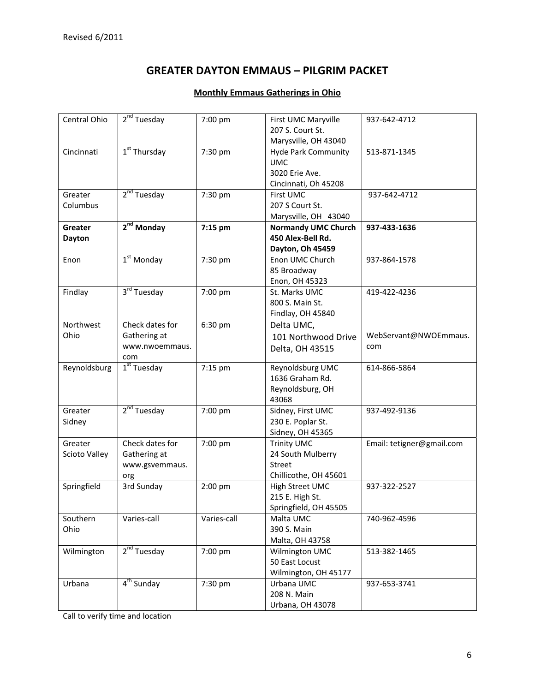#### **Monthly Emmaus Gatherings in Ohio**

| Central Ohio  | $2nd$ Tuesday           | 7:00 pm     | First UMC Maryville                | 937-642-4712              |
|---------------|-------------------------|-------------|------------------------------------|---------------------------|
|               |                         |             | 207 S. Court St.                   |                           |
|               |                         |             | Marysville, OH 43040               |                           |
| Cincinnati    | $1st$ Thursday          | 7:30 pm     | <b>Hyde Park Community</b>         | 513-871-1345              |
|               |                         |             | <b>UMC</b>                         |                           |
|               |                         |             | 3020 Erie Ave.                     |                           |
|               |                         |             | Cincinnati, Oh 45208               |                           |
| Greater       | $2nd$ Tuesday           | 7:30 pm     | First UMC                          | 937-642-4712              |
| Columbus      |                         |             | 207 S Court St.                    |                           |
|               |                         |             | Marysville, OH 43040               |                           |
| Greater       | $2nd$ Monday            | 7:15 pm     | <b>Normandy UMC Church</b>         | 937-433-1636              |
| <b>Dayton</b> |                         |             | 450 Alex-Bell Rd.                  |                           |
|               |                         |             | Dayton, Oh 45459                   |                           |
| Enon          | $1st$ Monday            | 7:30 pm     | Enon UMC Church                    | 937-864-1578              |
|               |                         |             | 85 Broadway                        |                           |
|               |                         |             | Enon, OH 45323                     |                           |
| Findlay       | $3rd$ Tuesday           | 7:00 pm     | St. Marks UMC                      | 419-422-4236              |
|               |                         |             | 800 S. Main St.                    |                           |
|               |                         |             | Findlay, OH 45840                  |                           |
| Northwest     | Check dates for         | 6:30 pm     | Delta UMC,                         |                           |
| Ohio          | Gathering at            |             | 101 Northwood Drive                | WebServant@NWOEmmaus.     |
|               | www.nwoemmaus.          |             | Delta, OH 43515                    | com                       |
|               | com                     |             |                                    |                           |
| Reynoldsburg  | $1st$ Tuesday           | 7:15 pm     | Reynoldsburg UMC                   | 614-866-5864              |
|               |                         |             | 1636 Graham Rd.                    |                           |
|               |                         |             | Reynoldsburg, OH                   |                           |
|               |                         |             | 43068                              |                           |
| Greater       | 2 <sup>nd</sup> Tuesday | 7:00 pm     | Sidney, First UMC                  | 937-492-9136              |
| Sidney        |                         |             | 230 E. Poplar St.                  |                           |
|               |                         |             | Sidney, OH 45365                   |                           |
| Greater       | Check dates for         | 7:00 pm     | <b>Trinity UMC</b>                 | Email: tetigner@gmail.com |
| Scioto Valley | Gathering at            |             | 24 South Mulberry<br>Street        |                           |
|               | www.gsvemmaus.          |             | Chillicothe, OH 45601              |                           |
|               | org<br>3rd Sunday       |             |                                    | 937-322-2527              |
| Springfield   |                         | 2:00 pm     | High Street UMC<br>215 E. High St. |                           |
|               |                         |             | Springfield, OH 45505              |                           |
| Southern      | Varies-call             | Varies-call | Malta UMC                          | 740-962-4596              |
| Ohio          |                         |             | 390 S. Main                        |                           |
|               |                         |             | Malta, OH 43758                    |                           |
| Wilmington    | 2 <sup>nd</sup> Tuesday | 7:00 pm     | Wilmington UMC                     | 513-382-1465              |
|               |                         |             | 50 East Locust                     |                           |
|               |                         |             | Wilmington, OH 45177               |                           |
| Urbana        | $4th$ Sunday            | 7:30 pm     | Urbana UMC                         | 937-653-3741              |
|               |                         |             | 208 N. Main                        |                           |
|               |                         |             | Urbana, OH 43078                   |                           |
|               |                         |             |                                    |                           |

Call to verify time and location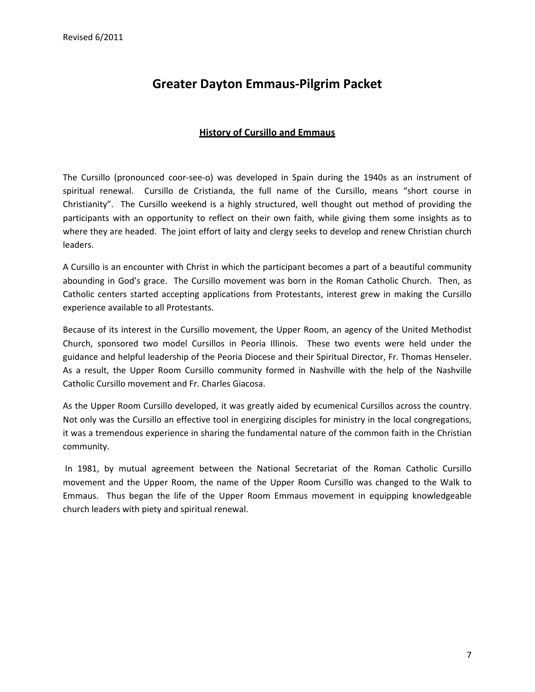## **Greater Dayton Emmaus‐Pilgrim Packet**

#### **History of Cursillo and Emmaus**

The Cursillo (pronounced coor‐see‐o) was developed in Spain during the 1940s as an instrument of spiritual renewal. Cursillo de Cristianda, the full name of the Cursillo, means "short course in Christianity". The Cursillo weekend is a highly structured, well thought out method of providing the participants with an opportunity to reflect on their own faith, while giving them some insights as to where they are headed. The joint effort of laity and clergy seeks to develop and renew Christian church leaders.

A Cursillo is an encounter with Christ in which the participant becomes a part of a beautiful community abounding in God's grace. The Cursillo movement was born in the Roman Catholic Church. Then, as Catholic centers started accepting applications from Protestants, interest grew in making the Cursillo experience available to all Protestants.

Because of its interest in the Cursillo movement, the Upper Room, an agency of the United Methodist Church, sponsored two model Cursillos in Peoria Illinois. These two events were held under the guidance and helpful leadership of the Peoria Diocese and their Spiritual Director, Fr. Thomas Henseler. As a result, the Upper Room Cursillo community formed in Nashville with the help of the Nashville Catholic Cursillo movement and Fr. Charles Giacosa.

As the Upper Room Cursillo developed, it was greatly aided by ecumenical Cursillos across the country. Not only was the Cursillo an effective tool in energizing disciples for ministry in the local congregations, it was a tremendous experience in sharing the fundamental nature of the common faith in the Christian community.

In 1981, by mutual agreement between the National Secretariat of the Roman Catholic Cursillo movement and the Upper Room, the name of the Upper Room Cursillo was changed to the Walk to Emmaus. Thus began the life of the Upper Room Emmaus movement in equipping knowledgeable church leaders with piety and spiritual renewal.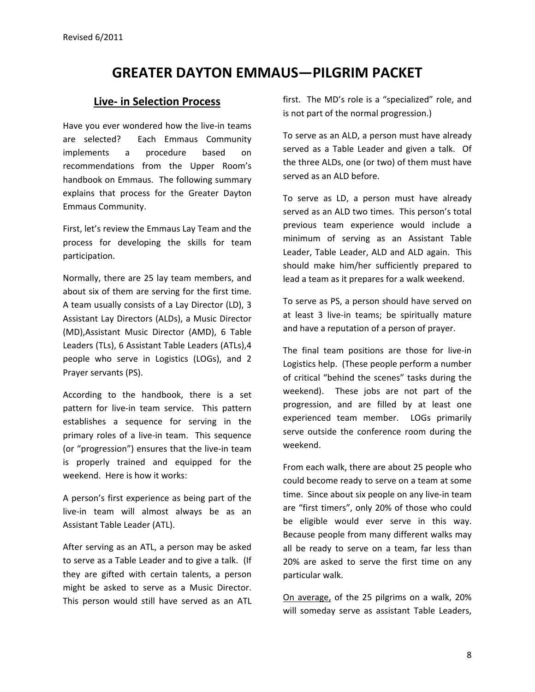#### **Live‐ in Selection Process**

Have you ever wondered how the live-in teams are selected? Each Emmaus Community implements a procedure based on recommendations from the Upper Room's handbook on Emmaus. The following summary explains that process for the Greater Dayton Emmaus Community.

First, let's review the Emmaus Lay Team and the process for developing the skills for team participation.

Normally, there are 25 lay team members, and about six of them are serving for the first time. A team usually consists of a Lay Director (LD), 3 Assistant Lay Directors (ALDs), a Music Director (MD),Assistant Music Director (AMD), 6 Table Leaders (TLs), 6 Assistant Table Leaders (ATLs),4 people who serve in Logistics (LOGs), and 2 Prayer servants (PS).

According to the handbook, there is a set pattern for live-in team service. This pattern establishes a sequence for serving in the primary roles of a live-in team. This sequence (or "progression") ensures that the live‐in team is properly trained and equipped for the weekend. Here is how it works:

A person's first experience as being part of the live‐in team will almost always be as an Assistant Table Leader (ATL).

After serving as an ATL, a person may be asked to serve as a Table Leader and to give a talk. (If they are gifted with certain talents, a person might be asked to serve as a Music Director. This person would still have served as an ATL

first. The MD's role is a "specialized" role, and is not part of the normal progression.)

To serve as an ALD, a person must have already served as a Table Leader and given a talk. Of the three ALDs, one (or two) of them must have served as an ALD before.

To serve as LD, a person must have already served as an ALD two times. This person's total previous team experience would include a minimum of serving as an Assistant Table Leader, Table Leader, ALD and ALD again. This should make him/her sufficiently prepared to lead a team as it prepares for a walk weekend.

To serve as PS, a person should have served on at least 3 live‐in teams; be spiritually mature and have a reputation of a person of prayer.

The final team positions are those for live-in Logistics help. (These people perform a number of critical "behind the scenes" tasks during the weekend). These jobs are not part of the progression, and are filled by at least one experienced team member. LOGs primarily serve outside the conference room during the weekend.

From each walk, there are about 25 people who could become ready to serve on a team at some time. Since about six people on any live‐in team are "first timers", only 20% of those who could be eligible would ever serve in this way. Because people from many different walks may all be ready to serve on a team, far less than 20% are asked to serve the first time on any particular walk.

On average, of the 25 pilgrims on a walk, 20% will someday serve as assistant Table Leaders,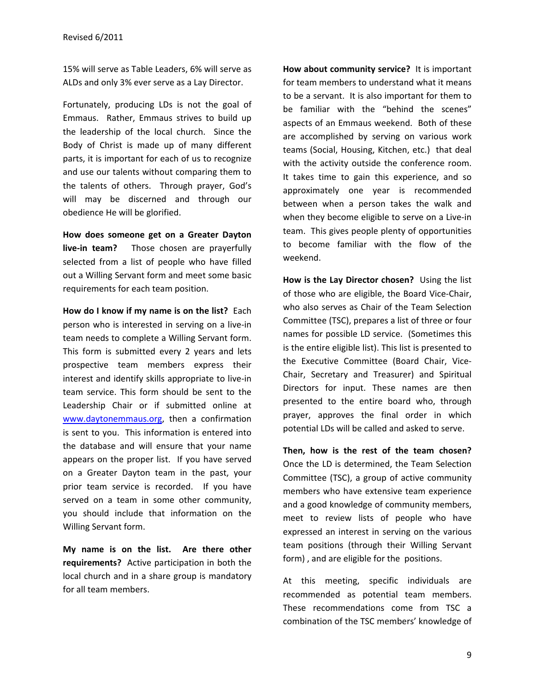15% will serve as Table Leaders, 6% will serve as ALDs and only 3% ever serve as a Lay Director.

Fortunately, producing LDs is not the goal of Emmaus. Rather, Emmaus strives to build up the leadership of the local church. Since the Body of Christ is made up of many different parts, it is important for each of us to recognize and use our talents without comparing them to the talents of others. Through prayer, God's will may be discerned and through our obedience He will be glorified.

**How does someone get on a Greater Dayton live-in team?** Those chosen are prayerfully selected from a list of people who have filled out a Willing Servant form and meet some basic requirements for each team position.

**How do I know if my name is on the list?** Each person who is interested in serving on a live‐in team needs to complete a Willing Servant form. This form is submitted every 2 years and lets prospective team members express their interest and identify skills appropriate to live‐in team service. This form should be sent to the Leadership Chair or if submitted online at www.daytonemmaus.org, then a confirmation is sent to you. This information is entered into the database and will ensure that your name appears on the proper list. If you have served on a Greater Dayton team in the past, your prior team service is recorded. If you have served on a team in some other community, you should include that information on the Willing Servant form.

**My name is on the list. Are there other requirements?** Active participation in both the local church and in a share group is mandatory for all team members.

**How about community service?** It is important for team members to understand what it means to be a servant. It is also important for them to be familiar with the "behind the scenes" aspects of an Emmaus weekend. Both of these are accomplished by serving on various work teams (Social, Housing, Kitchen, etc.) that deal with the activity outside the conference room. It takes time to gain this experience, and so approximately one year is recommended between when a person takes the walk and when they become eligible to serve on a Live-in team. This gives people plenty of opportunities to become familiar with the flow of the weekend.

**How is the Lay Director chosen?** Using the list of those who are eligible, the Board Vice‐Chair, who also serves as Chair of the Team Selection Committee (TSC), prepares a list of three or four names for possible LD service. (Sometimes this is the entire eligible list). This list is presented to the Executive Committee (Board Chair, Vice‐ Chair, Secretary and Treasurer) and Spiritual Directors for input. These names are then presented to the entire board who, through prayer, approves the final order in which potential LDs will be called and asked to serve.

**Then, how is the rest of the team chosen?** Once the LD is determined, the Team Selection Committee (TSC), a group of active community members who have extensive team experience and a good knowledge of community members, meet to review lists of people who have expressed an interest in serving on the various team positions (through their Willing Servant form) , and are eligible for the positions.

At this meeting, specific individuals are recommended as potential team members. These recommendations come from TSC a combination of the TSC members' knowledge of